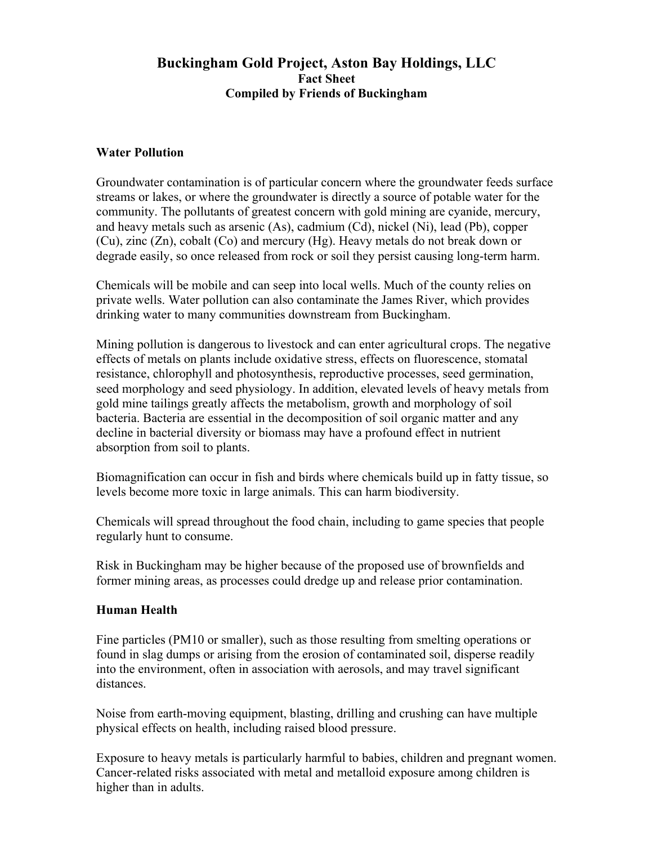# **Buckingham Gold Project, Aston Bay Holdings, LLC Fact Sheet Compiled by Friends of Buckingham**

### **Water Pollution**

Groundwater contamination is of particular concern where the groundwater feeds surface streams or lakes, or where the groundwater is directly a source of potable water for the community. The pollutants of greatest concern with gold mining are cyanide, mercury, and heavy metals such as arsenic (As), cadmium (Cd), nickel (Ni), lead (Pb), copper (Cu), zinc (Zn), cobalt (Co) and mercury (Hg). Heavy metals do not break down or degrade easily, so once released from rock or soil they persist causing long-term harm.

Chemicals will be mobile and can seep into local wells. Much of the county relies on private wells. Water pollution can also contaminate the James River, which provides drinking water to many communities downstream from Buckingham.

Mining pollution is dangerous to livestock and can enter agricultural crops. The negative effects of metals on plants include oxidative stress, effects on fluorescence, stomatal resistance, chlorophyll and photosynthesis, reproductive processes, seed germination, seed morphology and seed physiology. In addition, elevated levels of heavy metals from gold mine tailings greatly affects the metabolism, growth and morphology of soil bacteria. Bacteria are essential in the decomposition of soil organic matter and any decline in bacterial diversity or biomass may have a profound effect in nutrient absorption from soil to plants.

Biomagnification can occur in fish and birds where chemicals build up in fatty tissue, so levels become more toxic in large animals. This can harm biodiversity.

Chemicals will spread throughout the food chain, including to game species that people regularly hunt to consume.

Risk in Buckingham may be higher because of the proposed use of brownfields and former mining areas, as processes could dredge up and release prior contamination.

## **Human Health**

Fine particles (PM10 or smaller), such as those resulting from smelting operations or found in slag dumps or arising from the erosion of contaminated soil, disperse readily into the environment, often in association with aerosols, and may travel significant distances.

Noise from earth-moving equipment, blasting, drilling and crushing can have multiple physical effects on health, including raised blood pressure.

Exposure to heavy metals is particularly harmful to babies, children and pregnant women. Cancer-related risks associated with metal and metalloid exposure among children is higher than in adults.